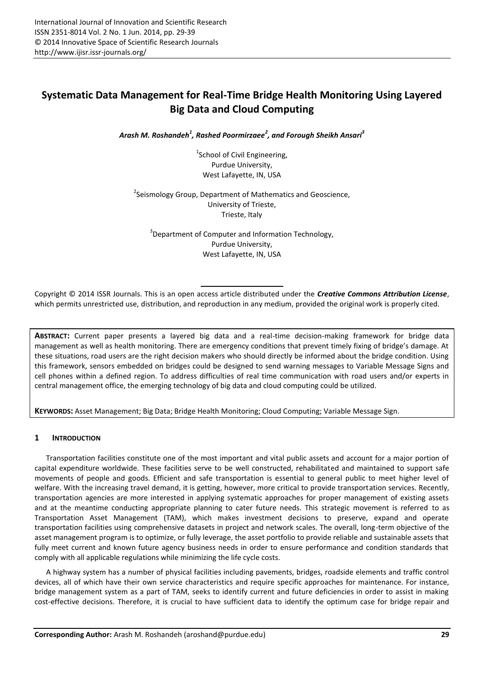# **Systematic Data Management for Real-Time Bridge Health Monitoring Using Layered Big Data and Cloud Computing**

*Arash M. Roshandeh<sup>1</sup> , Rashed Poormirzaee<sup>2</sup> , and Forough Sheikh Ansari<sup>3</sup>*

<sup>1</sup>School of Civil Engineering, Purdue University, West Lafayette, IN, USA

<sup>2</sup>Seismology Group, Department of Mathematics and Geoscience, University of Trieste, Trieste, Italy

<sup>3</sup>Department of Computer and Information Technology, Purdue University, West Lafayette, IN, USA

Copyright © 2014 ISSR Journals. This is an open access article distributed under the *Creative Commons Attribution License*, which permits unrestricted use, distribution, and reproduction in any medium, provided the original work is properly cited.

**ABSTRACT:** Current paper presents a layered big data and a real-time decision-making framework for bridge data management as well as health monitoring. There are emergency conditions that prevent timely fixing of bridge's damage. At these situations, road users are the right decision makers who should directly be informed about the bridge condition. Using this framework, sensors embedded on bridges could be designed to send warning messages to Variable Message Signs and cell phones within a defined region. To address difficulties of real time communication with road users and/or experts in central management office, the emerging technology of big data and cloud computing could be utilized.

**KEYWORDS:** Asset Management; Big Data; Bridge Health Monitoring; Cloud Computing; Variable Message Sign.

### **1 INTRODUCTION**

Transportation facilities constitute one of the most important and vital public assets and account for a major portion of capital expenditure worldwide. These facilities serve to be well constructed, rehabilitated and maintained to support safe movements of people and goods. Efficient and safe transportation is essential to general public to meet higher level of welfare. With the increasing travel demand, it is getting, however, more critical to provide transportation services. Recently, transportation agencies are more interested in applying systematic approaches for proper management of existing assets and at the meantime conducting appropriate planning to cater future needs. This strategic movement is referred to as Transportation Asset Management (TAM), which makes investment decisions to preserve, expand and operate transportation facilities using comprehensive datasets in project and network scales. The overall, long-term objective of the asset management program is to optimize, or fully leverage, the asset portfolio to provide reliable and sustainable assets that fully meet current and known future agency business needs in order to ensure performance and condition standards that comply with all applicable regulations while minimizing the life cycle costs.

A highway system has a number of physical facilities including pavements, bridges, roadside elements and traffic control devices, all of which have their own service characteristics and require specific approaches for maintenance. For instance, bridge management system as a part of TAM, seeks to identify current and future deficiencies in order to assist in making cost-effective decisions. Therefore, it is crucial to have sufficient data to identify the optimum case for bridge repair and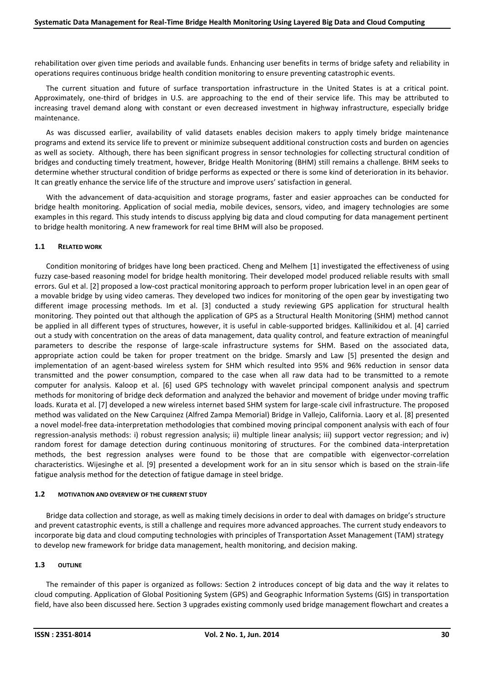rehabilitation over given time periods and available funds. Enhancing user benefits in terms of bridge safety and reliability in operations requires continuous bridge health condition monitoring to ensure preventing catastrophic events.

The current situation and future of surface transportation infrastructure in the United States is at a critical point. Approximately, one-third of bridges in U.S. are approaching to the end of their service life. This may be attributed to increasing travel demand along with constant or even decreased investment in highway infrastructure, especially bridge maintenance.

As was discussed earlier, availability of valid datasets enables decision makers to apply timely bridge maintenance programs and extend its service life to prevent or minimize subsequent additional construction costs and burden on agencies as well as society. Although, there has been significant progress in sensor technologies for collecting structural condition of bridges and conducting timely treatment, however, Bridge Health Monitoring (BHM) still remains a challenge. BHM seeks to determine whether structural condition of bridge performs as expected or there is some kind of deterioration in its behavior. It can greatly enhance the service life of the structure and improve users' satisfaction in general.

With the advancement of data-acquisition and storage programs, faster and easier approaches can be conducted for bridge health monitoring. Application of social media, mobile devices, sensors, video, and imagery technologies are some examples in this regard. This study intends to discuss applying big data and cloud computing for data management pertinent to bridge health monitoring. A new framework for real time BHM will also be proposed.

#### **1.1 RELATED WORK**

Condition monitoring of bridges have long been practiced. Cheng and Melhem [1] investigated the effectiveness of using fuzzy case-based reasoning model for bridge health monitoring. Their developed model produced reliable results with small errors. Gul et al. [2] proposed a low-cost practical monitoring approach to perform proper lubrication level in an open gear of a movable bridge by using video cameras. They developed two indices for monitoring of the open gear by investigating two different image processing methods. Im et al. [3] conducted a study reviewing GPS application for structural health monitoring. They pointed out that although the application of GPS as a Structural Health Monitoring (SHM) method cannot be applied in all different types of structures, however, it is useful in cable-supported bridges. Kallinikidou et al. [4] carried out a study with concentration on the areas of data management, data quality control, and feature extraction of meaningful parameters to describe the response of large-scale infrastructure systems for SHM. Based on the associated data, appropriate action could be taken for proper treatment on the bridge. Smarsly and Law [5] presented the design and implementation of an agent-based wireless system for SHM which resulted into 95% and 96% reduction in sensor data transmitted and the power consumption, compared to the case when all raw data had to be transmitted to a remote computer for analysis. Kaloop et al. [6] used GPS technology with wavelet principal component analysis and spectrum methods for monitoring of bridge deck deformation and analyzed the behavior and movement of bridge under moving traffic loads. Kurata et al. [7] developed a new wireless internet based SHM system for large-scale civil infrastructure. The proposed method was validated on the New Carquinez (Alfred Zampa Memorial) Bridge in Vallejo, California. Laory et al. [8] presented a novel model-free data-interpretation methodologies that combined moving principal component analysis with each of four regression-analysis methods: i) robust regression analysis; ii) multiple linear analysis; iii) support vector regression; and iv) random forest for damage detection during continuous monitoring of structures. For the combined data-interpretation methods, the best regression analyses were found to be those that are compatible with eigenvector-correlation characteristics. Wijesinghe et al. [9] presented a development work for an in situ sensor which is based on the strain-life fatigue analysis method for the detection of fatigue damage in steel bridge.

#### **1.2 MOTIVATION AND OVERVIEW OF THE CURRENT STUDY**

Bridge data collection and storage, as well as making timely decisions in order to deal with damages on bridge's structure and prevent catastrophic events, is still a challenge and requires more advanced approaches. The current study endeavors to incorporate big data and cloud computing technologies with principles of Transportation Asset Management (TAM) strategy to develop new framework for bridge data management, health monitoring, and decision making.

#### **1.3 OUTLINE**

The remainder of this paper is organized as follows: Section 2 introduces concept of big data and the way it relates to cloud computing. Application of Global Positioning System (GPS) and Geographic Information Systems (GIS) in transportation field, have also been discussed here. Section 3 upgrades existing commonly used bridge management flowchart and creates a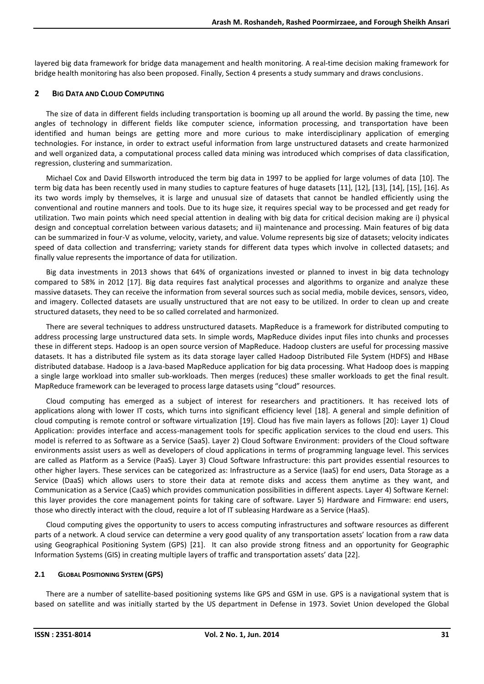layered big data framework for bridge data management and health monitoring. A real-time decision making framework for bridge health monitoring has also been proposed. Finally, Section 4 presents a study summary and draws conclusions.

#### **2 BIG DATA AND CLOUD COMPUTING**

The size of data in different fields including transportation is booming up all around the world. By passing the time, new angles of technology in different fields like computer science, information processing, and transportation have been identified and human beings are getting more and more curious to make interdisciplinary application of emerging technologies. For instance, in order to extract useful information from large unstructured datasets and create harmonized and well organized data, a computational process called data mining was introduced which comprises of data classification, regression, clustering and summarization.

Michael Cox and David Ellsworth introduced the term big data in 1997 to be applied for large volumes of data [10]. The term big data has been recently used in many studies to capture features of huge datasets [11], [12], [13], [14], [15], [16]. As its two words imply by themselves, it is large and unusual size of datasets that cannot be handled efficiently using the conventional and routine manners and tools. Due to its huge size, it requires special way to be processed and get ready for utilization. Two main points which need special attention in dealing with big data for critical decision making are i) physical design and conceptual correlation between various datasets; and ii) maintenance and processing. Main features of big data can be summarized in four-V as volume, velocity, variety, and value. Volume represents big size of datasets; velocity indicates speed of data collection and transferring; variety stands for different data types which involve in collected datasets; and finally value represents the importance of data for utilization.

Big data investments in 2013 shows that 64% of organizations invested or planned to invest in big data technology compared to 58% in 2012 [17]. Big data requires fast analytical processes and algorithms to organize and analyze these massive datasets. They can receive the information from several sources such as social media, mobile devices, sensors, video, and imagery. Collected datasets are usually unstructured that are not easy to be utilized. In order to clean up and create structured datasets, they need to be so called correlated and harmonized.

There are several techniques to address unstructured datasets. MapReduce is a framework for distributed computing to address processing large unstructured data sets. In simple words, MapReduce divides input files into chunks and processes these in different steps. Hadoop is an open source version of MapReduce. Hadoop clusters are useful for processing massive datasets. It has a distributed file system as its data storage layer called Hadoop Distributed File System (HDFS) and HBase distributed database. Hadoop is a Java-based MapReduce application for big data processing. What Hadoop does is mapping a single large workload into smaller sub-workloads. Then merges (reduces) these smaller workloads to get the final result. MapReduce framework can be leveraged to process large datasets using "cloud" resources.

Cloud computing has emerged as a subject of interest for researchers and practitioners. It has received lots of applications along with lower IT costs, which turns into significant efficiency level [18]. A general and simple definition of cloud computing is remote control or software virtualization [19]. Cloud has five main layers as follows [20]: Layer 1) Cloud Application: provides interface and access-management tools for specific application services to the cloud end users. This model is referred to as Software as a Service (SaaS). Layer 2) Cloud Software Environment: providers of the Cloud software environments assist users as well as developers of cloud applications in terms of programming language level. This services are called as Platform as a Service (PaaS). Layer 3) Cloud Software Infrastructure: this part provides essential resources to other higher layers. These services can be categorized as: Infrastructure as a Service (IaaS) for end users, Data Storage as a Service (DaaS) which allows users to store their data at remote disks and access them anytime as they want, and Communication as a Service (CaaS) which provides communication possibilities in different aspects. Layer 4) Software Kernel: this layer provides the core management points for taking care of software. Layer 5) Hardware and Firmware: end users, those who directly interact with the cloud, require a lot of IT subleasing Hardware as a Service (HaaS).

Cloud computing gives the opportunity to users to access computing infrastructures and software resources as different parts of a network. A cloud service can determine a very good quality of any transportation assets' location from a raw data using Geographical Positioning System (GPS) [21]. It can also provide strong fitness and an opportunity for Geographic Information Systems (GIS) in creating multiple layers of traffic and transportation assets' data [22].

#### **2.1 GLOBAL POSITIONING SYSTEM (GPS)**

There are a number of satellite-based positioning systems like GPS and GSM in use. GPS is a navigational system that is based on satellite and was initially started by the US department in Defense in 1973. Soviet Union developed the Global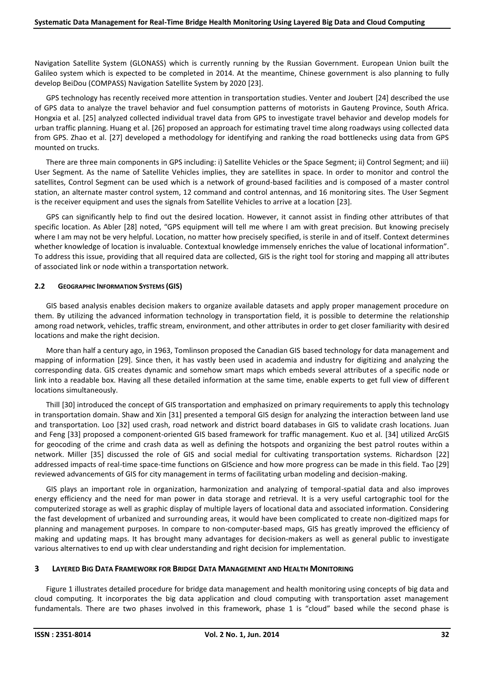Navigation Satellite System (GLONASS) which is currently running by the Russian Government. European Union built the Galileo system which is expected to be completed in 2014. At the meantime, Chinese government is also planning to fully develop BeiDou (COMPASS) Navigation Satellite System by 2020 [23].

GPS technology has recently received more attention in transportation studies. Venter and Joubert [24] described the use of GPS data to analyze the travel behavior and fuel consumption patterns of motorists in Gauteng Province, South Africa. Hongxia et al. [25] analyzed collected individual travel data from GPS to investigate travel behavior and develop models for urban traffic planning. Huang et al. [26] proposed an approach for estimating travel time along roadways using collected data from GPS. Zhao et al. [27] developed a methodology for identifying and ranking the road bottlenecks using data from GPS mounted on trucks.

There are three main components in GPS including: i) Satellite Vehicles or the Space Segment; ii) Control Segment; and iii) User Segment. As the name of Satellite Vehicles implies, they are satellites in space. In order to monitor and control the satellites, Control Segment can be used which is a network of ground-based facilities and is composed of a master control station, an alternate master control system, 12 command and control antennas, and 16 monitoring sites. The User Segment is the receiver equipment and uses the signals from Satellite Vehicles to arrive at a location [23].

GPS can significantly help to find out the desired location. However, it cannot assist in finding other attributes of that specific location. As Abler [28] noted, "GPS equipment will tell me where I am with great precision. But knowing precisely where I am may not be very helpful. Location, no matter how precisely specified, is sterile in and of itself. Context determines whether knowledge of location is invaluable. Contextual knowledge immensely enriches the value of locational information". To address this issue, providing that all required data are collected, GIS is the right tool for storing and mapping all attributes of associated link or node within a transportation network.

#### **2.2 GEOGRAPHIC INFORMATION SYSTEMS (GIS)**

GIS based analysis enables decision makers to organize available datasets and apply proper management procedure on them. By utilizing the advanced information technology in transportation field, it is possible to determine the relationship among road network, vehicles, traffic stream, environment, and other attributes in order to get closer familiarity with desired locations and make the right decision.

More than half a century ago, in 1963, Tomlinson proposed the Canadian GIS based technology for data management and mapping of information [29]. Since then, it has vastly been used in academia and industry for digitizing and analyzing the corresponding data. GIS creates dynamic and somehow smart maps which embeds several attributes of a specific node or link into a readable box. Having all these detailed information at the same time, enable experts to get full view of different locations simultaneously.

Thill [30] introduced the concept of GIS transportation and emphasized on primary requirements to apply this technology in transportation domain. Shaw and Xin [31] presented a temporal GIS design for analyzing the interaction between land use and transportation. Loo [32] used crash, road network and district board databases in GIS to validate crash locations. Juan and Feng [33] proposed a component-oriented GIS based framework for traffic management. Kuo et al. [34] utilized ArcGIS for geocoding of the crime and crash data as well as defining the hotspots and organizing the best patrol routes within a network. Miller [35] discussed the role of GIS and social medial for cultivating transportation systems. Richardson [22] addressed impacts of real-time space-time functions on GIScience and how more progress can be made in this field. Tao [29] reviewed advancements of GIS for city management in terms of facilitating urban modeling and decision-making.

GIS plays an important role in organization, harmonization and analyzing of temporal-spatial data and also improves energy efficiency and the need for man power in data storage and retrieval. It is a very useful cartographic tool for the computerized storage as well as graphic display of multiple layers of locational data and associated information. Considering the fast development of urbanized and surrounding areas, it would have been complicated to create non-digitized maps for planning and management purposes. In compare to non-computer-based maps, GIS has greatly improved the efficiency of making and updating maps. It has brought many advantages for decision-makers as well as general public to investigate various alternatives to end up with clear understanding and right decision for implementation.

### **3 LAYERED BIG DATA FRAMEWORK FOR BRIDGE DATA MANAGEMENT AND HEALTH MONITORING**

Figure 1 illustrates detailed procedure for bridge data management and health monitoring using concepts of big data and cloud computing. It incorporates the big data application and cloud computing with transportation asset management fundamentals. There are two phases involved in this framework, phase 1 is "cloud" based while the second phase is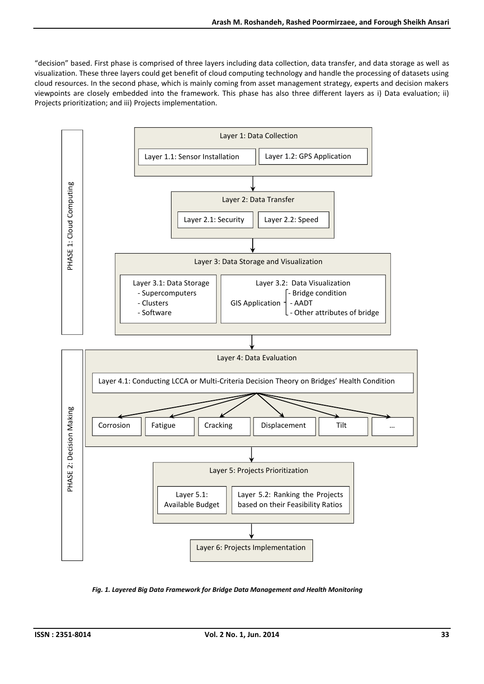"decision" based. First phase is comprised of three layers including data collection, data transfer, and data storage as well as visualization. These three layers could get benefit of cloud computing technology and handle the processing of datasets using cloud resources. In the second phase, which is mainly coming from asset management strategy, experts and decision makers viewpoints are closely embedded into the framework. This phase has also three different layers as i) Data evaluation; ii) Projects prioritization; and iii) Projects implementation.



*Fig. 1. Layered Big Data Framework for Bridge Data Management and Health Monitoring*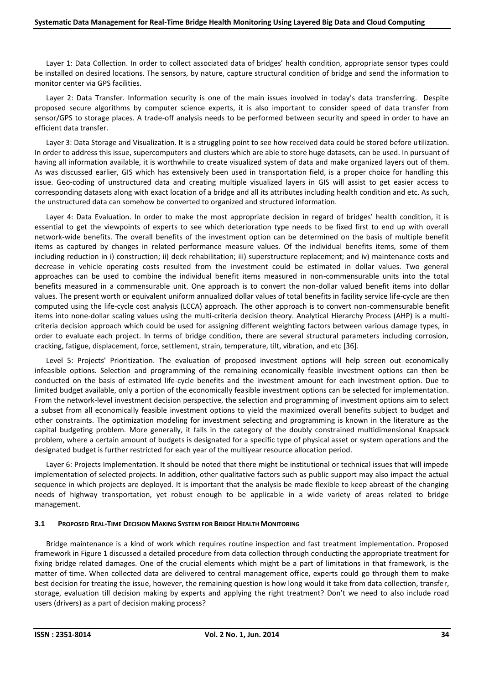Layer 1: Data Collection. In order to collect associated data of bridges' health condition, appropriate sensor types could be installed on desired locations. The sensors, by nature, capture structural condition of bridge and send the information to monitor center via GPS facilities.

Layer 2: Data Transfer. Information security is one of the main issues involved in today's data transferring. Despite proposed secure algorithms by computer science experts, it is also important to consider speed of data transfer from sensor/GPS to storage places. A trade-off analysis needs to be performed between security and speed in order to have an efficient data transfer.

Layer 3: Data Storage and Visualization. It is a struggling point to see how received data could be stored before utilization. In order to address this issue, supercomputers and clusters which are able to store huge datasets, can be used. In pursuant of having all information available, it is worthwhile to create visualized system of data and make organized layers out of them. As was discussed earlier, GIS which has extensively been used in transportation field, is a proper choice for handling this issue. Geo-coding of unstructured data and creating multiple visualized layers in GIS will assist to get easier access to corresponding datasets along with exact location of a bridge and all its attributes including health condition and etc. As such, the unstructured data can somehow be converted to organized and structured information.

Layer 4: Data Evaluation. In order to make the most appropriate decision in regard of bridges' health condition, it is essential to get the viewpoints of experts to see which deterioration type needs to be fixed first to end up with overall network-wide benefits. The overall benefits of the investment option can be determined on the basis of multiple benefit items as captured by changes in related performance measure values. Of the individual benefits items, some of them including reduction in i) construction; ii) deck rehabilitation; iii) superstructure replacement; and iv) maintenance costs and decrease in vehicle operating costs resulted from the investment could be estimated in dollar values. Two general approaches can be used to combine the individual benefit items measured in non-commensurable units into the total benefits measured in a commensurable unit. One approach is to convert the non-dollar valued benefit items into dollar values. The present worth or equivalent uniform annualized dollar values of total benefits in facility service life-cycle are then computed using the life-cycle cost analysis (LCCA) approach. The other approach is to convert non-commensurable benefit items into none-dollar scaling values using the multi-criteria decision theory. Analytical Hierarchy Process (AHP) is a multi criteria decision approach which could be used for assigning different weighting factors between various damage types, in order to evaluate each project. In terms of bridge condition, there are several structural parameters including corrosion, cracking, fatigue, displacement, force, settlement, strain, temperature, tilt, vibration, and etc [36].

Level 5: Projects' Prioritization. The evaluation of proposed investment options will help screen out economically infeasible options. Selection and programming of the remaining economically feasible investment options can then be conducted on the basis of estimated life-cycle benefits and the investment amount for each investment option. Due to limited budget available, only a portion of the economically feasible investment options can be selected for implementation. From the network-level investment decision perspective, the selection and programming of investment options aim to select a subset from all economically feasible investment options to yield the maximized overall benefits subject to budget and other constraints. The optimization modeling for investment selecting and programming is known in the literature as the capital budgeting problem. More generally, it falls in the category of the doubly constrained multidimensional Knapsack problem, where a certain amount of budgets is designated for a specific type of physical asset or system operations and the designated budget is further restricted for each year of the multiyear resource allocation period.

Layer 6: Projects Implementation. It should be noted that there might be institutional or technical issues that will impede implementation of selected projects. In addition, other qualitative factors such as public support may also impact the actual sequence in which projects are deployed. It is important that the analysis be made flexible to keep abreast of the changing needs of highway transportation, yet robust enough to be applicable in a wide variety of areas related to bridge management.

#### **3.1 PROPOSED REAL-TIME DECISION MAKING SYSTEM FOR BRIDGE HEALTH MONITORING**

Bridge maintenance is a kind of work which requires routine inspection and fast treatment implementation. Proposed framework in Figure 1 discussed a detailed procedure from data collection through conducting the appropriate treatment for fixing bridge related damages. One of the crucial elements which might be a part of limitations in that framework, is the matter of time. When collected data are delivered to central management office, experts could go through them to make best decision for treating the issue, however, the remaining question is how long would it take from data collection, transfer, storage, evaluation till decision making by experts and applying the right treatment? Don't we need to also include road users (drivers) as a part of decision making process?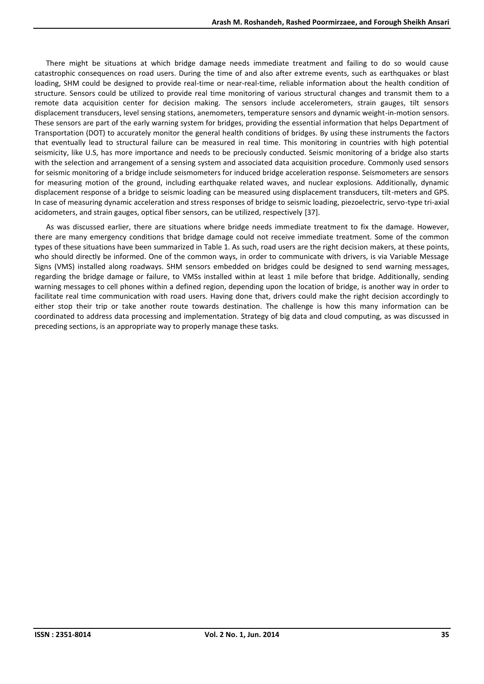There might be situations at which bridge damage needs immediate treatment and failing to do so would cause catastrophic consequences on road users. During the time of and also after extreme events, such as earthquakes or blast loading, SHM could be designed to provide real-time or near-real-time, reliable information about the health condition of structure. Sensors could be utilized to provide real time monitoring of various structural changes and transmit them to a remote data acquisition center for decision making. The sensors include accelerometers, strain gauges, tilt sensors displacement transducers, level sensing stations, anemometers, temperature sensors and dynamic weight-in-motion sensors. These sensors are part of the early warning system for bridges, providing the essential information that helps Department of Transportation (DOT) to accurately monitor the general health conditions of bridges. By using these instruments the factors that eventually lead to structural failure can be measured in real time. This monitoring in countries with high potential seismicity, like U.S, has more importance and needs to be preciously conducted. Seismic monitoring of a bridge also starts with the selection and arrangement of a sensing system and associated data acquisition procedure. Commonly used sensors for seismic monitoring of a bridge include seismometers for induced bridge acceleration response. Seismometers are sensors for measuring motion of the ground, including earthquake related waves, and nuclear explosions. Additionally, dynamic displacement response of a bridge to seismic loading can be measured using displacement transducers, tilt-meters and GPS. In case of measuring dynamic acceleration and stress responses of bridge to seismic loading, piezoelectric, servo-type tri-axial acidometers, and strain gauges, optical fiber sensors, can be utilized, respectively [37].

As was discussed earlier, there are situations where bridge needs immediate treatment to fix the damage. However, there are many emergency conditions that bridge damage could not receive immediate treatment. Some of the common types of these situations have been summarized in Table 1. As such, road users are the right decision makers, at these points, who should directly be informed. One of the common ways, in order to communicate with drivers, is via Variable Message Signs (VMS) installed along roadways. SHM sensors embedded on bridges could be designed to send warning messages, regarding the bridge damage or failure, to VMSs installed within at least 1 mile before that bridge. Additionally, sending warning messages to cell phones within a defined region, depending upon the location of bridge, is another way in order to facilitate real time communication with road users. Having done that, drivers could make the right decision accordingly to either stop their trip or take another route towards destination. The challenge is how this many information can be coordinated to address data processing and implementation. Strategy of big data and cloud computing, as was discussed in preceding sections, is an appropriate way to properly manage these tasks.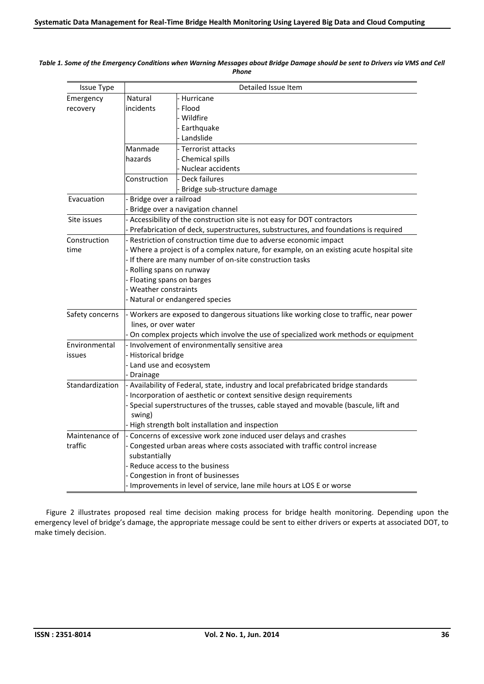| <b>Issue Type</b> | Detailed Issue Item                                                                       |                             |
|-------------------|-------------------------------------------------------------------------------------------|-----------------------------|
| Emergency         | Natural                                                                                   | Hurricane                   |
| recovery          | incidents                                                                                 | Flood                       |
|                   |                                                                                           | Wildfire                    |
|                   |                                                                                           | Earthquake                  |
|                   |                                                                                           | Landslide                   |
|                   | Manmade                                                                                   | - Terrorist attacks         |
|                   | hazards                                                                                   | Chemical spills             |
|                   |                                                                                           | Nuclear accidents           |
|                   | Construction                                                                              | - Deck failures             |
|                   |                                                                                           | Bridge sub-structure damage |
| Evacuation        | - Bridge over a railroad                                                                  |                             |
|                   | Bridge over a navigation channel                                                          |                             |
| Site issues       | - Accessibility of the construction site is not easy for DOT contractors                  |                             |
|                   | Prefabrication of deck, superstructures, substructures, and foundations is required       |                             |
| Construction      | Restriction of construction time due to adverse economic impact                           |                             |
| time              | - Where a project is of a complex nature, for example, on an existing acute hospital site |                             |
|                   | - If there are many number of on-site construction tasks                                  |                             |
|                   | - Rolling spans on runway                                                                 |                             |
|                   | - Floating spans on barges                                                                |                             |
|                   | - Weather constraints                                                                     |                             |
|                   | - Natural or endangered species                                                           |                             |
| Safety concerns   | - Workers are exposed to dangerous situations like working close to traffic, near power   |                             |
|                   | lines, or over water                                                                      |                             |
|                   | On complex projects which involve the use of specialized work methods or equipment        |                             |
| Environmental     | - Involvement of environmentally sensitive area                                           |                             |
| issues            | - Historical bridge                                                                       |                             |
|                   | - Land use and ecosystem                                                                  |                             |
|                   | Drainage                                                                                  |                             |
| Standardization   | - Availability of Federal, state, industry and local prefabricated bridge standards       |                             |
|                   | - Incorporation of aesthetic or context sensitive design requirements                     |                             |
|                   | Special superstructures of the trusses, cable stayed and movable (bascule, lift and       |                             |
|                   | swing)                                                                                    |                             |
|                   | - High strength bolt installation and inspection                                          |                             |
| Maintenance of    | - Concerns of excessive work zone induced user delays and crashes                         |                             |
| traffic           | - Congested urban areas where costs associated with traffic control increase              |                             |
|                   | substantially                                                                             |                             |
|                   | - Reduce access to the business                                                           |                             |
|                   | - Congestion in front of businesses                                                       |                             |
|                   | Improvements in level of service, lane mile hours at LOS E or worse                       |                             |

#### *Table 1. Some of the Emergency Conditions when Warning Messages about Bridge Damage should be sent to Drivers via VMS and Cell Phone*

Figure 2 illustrates proposed real time decision making process for bridge health monitoring. Depending upon the emergency level of bridge's damage, the appropriate message could be sent to either drivers or experts at associated DOT, to make timely decision.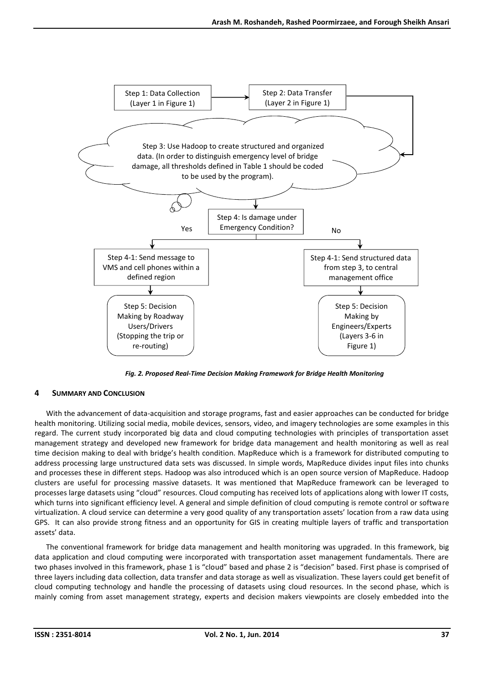

*Fig. 2. Proposed Real-Time Decision Making Framework for Bridge Health Monitoring*

## **4 SUMMARY AND CONCLUSION**

With the advancement of data-acquisition and storage programs, fast and easier approaches can be conducted for bridge health monitoring. Utilizing social media, mobile devices, sensors, video, and imagery technologies are some examples in this regard. The current study incorporated big data and cloud computing technologies with principles of transportation asset management strategy and developed new framework for bridge data management and health monitoring as well as real time decision making to deal with bridge's health condition. MapReduce which is a framework for distributed computing to address processing large unstructured data sets was discussed. In simple words, MapReduce divides input files into chunks and processes these in different steps. Hadoop was also introduced which is an open source version of MapReduce. Hadoop clusters are useful for processing massive datasets. It was mentioned that MapReduce framework can be leveraged to processes large datasets using "cloud" resources. Cloud computing has received lots of applications along with lower IT costs, which turns into significant efficiency level. A general and simple definition of cloud computing is remote control or software virtualization. A cloud service can determine a very good quality of any transportation assets' location from a raw data using GPS. It can also provide strong fitness and an opportunity for GIS in creating multiple layers of traffic and transportation assets' data.

The conventional framework for bridge data management and health monitoring was upgraded. In this framework, big data application and cloud computing were incorporated with transportation asset management fundamentals. There are two phases involved in this framework, phase 1 is "cloud" based and phase 2 is "decision" based. First phase is comprised of three layers including data collection, data transfer and data storage as well as visualization. These layers could get benefit of cloud computing technology and handle the processing of datasets using cloud resources. In the second phase, which is mainly coming from asset management strategy, experts and decision makers viewpoints are closely embedded into the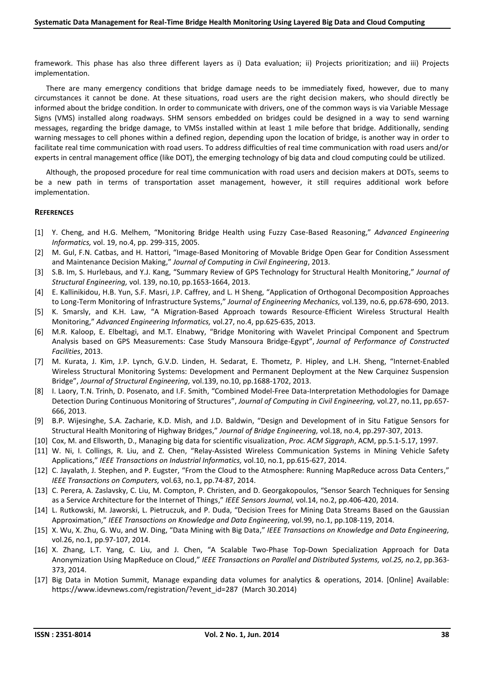framework. This phase has also three different layers as i) Data evaluation; ii) Projects prioritization; and iii) Projects implementation.

There are many emergency conditions that bridge damage needs to be immediately fixed, however, due to many circumstances it cannot be done. At these situations, road users are the right decision makers, who should directly be informed about the bridge condition. In order to communicate with drivers, one of the common ways is via Variable Message Signs (VMS) installed along roadways. SHM sensors embedded on bridges could be designed in a way to send warning messages, regarding the bridge damage, to VMSs installed within at least 1 mile before that bridge. Additionally, sending warning messages to cell phones within a defined region, depending upon the location of bridge, is another way in order to facilitate real time communication with road users. To address difficulties of real time communication with road users and/or experts in central management office (like DOT), the emerging technology of big data and cloud computing could be utilized.

Although, the proposed procedure for real time communication with road users and decision makers at DOTs, seems to be a new path in terms of transportation asset management, however, it still requires additional work before implementation.

#### **REFERENCES**

- [1] Y. Cheng, and H.G. Melhem, "Monitoring Bridge Health using Fuzzy Case-Based Reasoning," *Advanced Engineering Informatics,* vol. 19, no.4, pp. 299-315, 2005.
- [2] M. Gul, F.N. Catbas, and H. Hattori, "Image-Based Monitoring of Movable Bridge Open Gear for Condition Assessment and Maintenance Decision Making," *Journal of Computing in Civil Engineering*, 2013.
- [3] S.B. Im, S. Hurlebaus, and Y.J. Kang, "Summary Review of GPS Technology for Structural Health Monitoring," *Journal of Structural Engineering,* vol. 139, no.10, pp.1653-1664, 2013.
- [4] E. Kallinikidou, H.B. Yun, S.F. Masri, J.P. Caffrey, and L. H Sheng, "Application of Orthogonal Decomposition Approaches to Long-Term Monitoring of Infrastructure Systems," *Journal of Engineering Mechanics,* vol.139, no.6, pp.678-690, 2013.
- [5] K. Smarsly, and K.H. Law, "A Migration-Based Approach towards Resource-Efficient Wireless Structural Health Monitoring," *Advanced Engineering Informatics,* vol.27, no.4, pp.625-635, 2013.
- [6] M.R. Kaloop, E. Elbeltagi, and M.T. Elnabwy, "Bridge Monitoring with Wavelet Principal Component and Spectrum Analysis based on GPS Measurements: Case Study Mansoura Bridge-Egypt", *Journal of Performance of Constructed Facilities*, 2013.
- [7] M. Kurata, J. Kim, J.P. Lynch, G.V.D. Linden, H. Sedarat, E. Thometz, P. Hipley, and L.H.Sheng, "Internet-Enabled Wireless Structural Monitoring Systems: Development and Permanent Deployment at the New Carquinez Suspension Bridge", *Journal of Structural Engineering,* vol.139, no.10, pp.1688-1702, 2013.
- [8] I. Laory, T.N. Trinh, D. Posenato, and I.F. Smith, "Combined Model-Free Data-Interpretation Methodologies for Damage Detection During Continuous Monitoring of Structures", *Journal of Computing in Civil Engineering,* vol.27, no.11, pp.657- 666, 2013.
- [9] B.P. Wijesinghe, S.A. Zacharie, K.D. Mish, and J.D. Baldwin, "Design and Development of in Situ Fatigue Sensors for Structural Health Monitoring of Highway Bridges," *Journal of Bridge Engineering,* vol.18, no.4, pp.297-307, 2013.
- [10] Cox, M. and Ellsworth, D., Managing big data for scientific visualization, *Proc. ACM Siggraph*, ACM, pp.5.1-5.17, 1997.
- [11] W. Ni, I. Collings, R. Liu, and Z. Chen, "Relay-Assisted Wireless Communication Systems in Mining Vehicle Safety Applications," *IEEE Transactions on Industrial Informatics,* vol.10, no.1, pp.615-627, 2014.
- [12] C. Jayalath, J. Stephen, and P. Eugster, "From the Cloud to the Atmosphere: Running MapReduce across Data Centers," *IEEE Transactions on Computers,* vol.63, no.1, pp.74-87, 2014.
- [13] C. Perera, A. Zaslavsky, C. Liu, M. Compton, P. Christen, and D. Georgakopoulos, "Sensor Search Techniques for Sensing as a Service Architecture for the Internet of Things," *IEEE Sensors Journal,* vol.14, no.2, pp.406-420, 2014.
- [14] L. Rutkowski, M. Jaworski, L. Pietruczuk, and P. Duda, "Decision Trees for Mining Data Streams Based on the Gaussian Approximation," *IEEE Transactions on Knowledge and Data Engineering,* vol.99, no.1, pp.108-119, 2014.
- [15] X. Wu, X. Zhu, G. Wu, and W. Ding, "Data Mining with Big Data," *IEEE Transactions on Knowledge and Data Engineering,* vol.26, no.1, pp.97-107, 2014.
- [16] X. Zhang, L.T. Yang, C. Liu, and J. Chen, "A Scalable Two-Phase Top-Down Specialization Approach for Data Anonymization Using MapReduce on Cloud," *IEEE Transactions on Parallel and Distributed Systems, vol.25, no.*2, pp.363- 373, 2014.
- [17] Big Data in Motion Summit, Manage expanding data volumes for analytics & operations, 2014. [Online] Available: https://www.idevnews.com/registration/?event\_id=287 (March 30.2014)